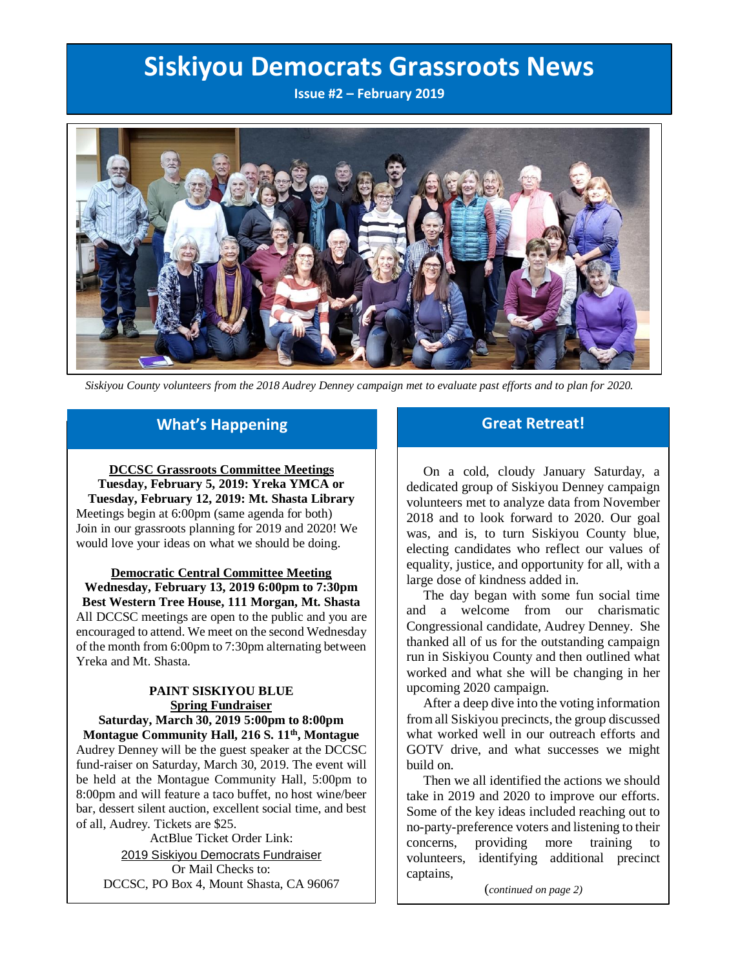# **Siskiyou Democrats Grassroots News**

**Issue #2 – February 2019**



 *Siskiyou County volunteers from the 2018 Audrey Denney campaign met to evaluate past efforts and to plan for 2020.*

# **What's Happening**

**DCCSC Grassroots Committee Meetings Tuesday, February 5, 2019: Yreka YMCA or Tuesday, February 12, 2019: Mt. Shasta Library** Meetings begin at 6:00pm (same agenda for both) Join in our grassroots planning for 2019 and 2020! We would love your ideas on what we should be doing.

**Democratic Central Committee Meeting Wednesday, February 13, 2019 6:00pm to 7:30pm Best Western Tree House, 111 Morgan, Mt. Shasta** All DCCSC meetings are open to the public and you are encouraged to attend. We meet on the second Wednesday of the month from 6:00pm to 7:30pm alternating between

### **PAINT SISKIYOU BLUE Spring Fundraiser Saturday, March 30, 2019 5:00pm to 8:00pm**

Yreka and Mt. Shasta.

**Montague Community Hall, 216 S. 11th, Montague** Audrey Denney will be the guest speaker at the DCCSC fund-raiser on Saturday, March 30, 2019. The event will be held at the Montague Community Hall, 5:00pm to 8:00pm and will feature a taco buffet, no host wine/beer bar, dessert silent auction, excellent social time, and best of all, Audrey. Tickets are \$25.

ActBlue Ticket Order Link: 2019 Siskiyou [Democrats](https://secure.actblue.com/donate/siskspr2019) Fundraiser Or Mail Checks to: DCCSC, PO Box 4, Mount Shasta, CA 96067

## **Great Retreat!**

 On a cold, cloudy January Saturday, a dedicated group of Siskiyou Denney campaign volunteers met to analyze data from November 2018 and to look forward to 2020. Our goal was, and is, to turn Siskiyou County blue, electing candidates who reflect our values of equality, justice, and opportunity for all, with a large dose of kindness added in.

 The day began with some fun social time and a welcome from our charismatic Congressional candidate, Audrey Denney. She thanked all of us for the outstanding campaign run in Siskiyou County and then outlined what worked and what she will be changing in her upcoming 2020 campaign.

 After a deep dive into the voting information from all Siskiyou precincts, the group discussed what worked well in our outreach efforts and GOTV drive, and what successes we might build on.

 Then we all identified the actions we should take in 2019 and 2020 to improve our efforts. Some of the key ideas included reaching out to no-party-preference voters and listening to their concerns, providing more training to volunteers, identifying additional precinct captains,

(*continued on page 2)*